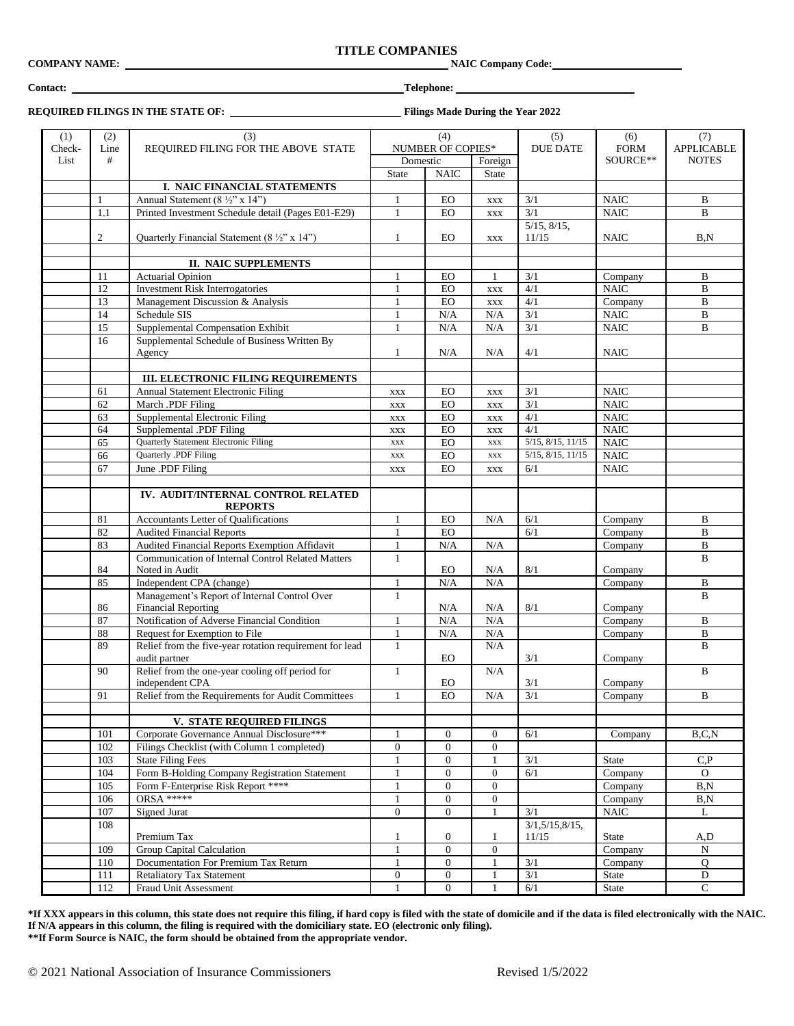# **TITLE COMPANIES**<br>NAIC Company Code: **COMPANY NAME:**

# **REQUIRED FILINGS IN THE STATE OF: Filings Made During the Year 2022**

| (1)    | (2)            | (3)                                                                      |                               | (4)              |                  | (5)                        | (6)                               | (7)           |
|--------|----------------|--------------------------------------------------------------------------|-------------------------------|------------------|------------------|----------------------------|-----------------------------------|---------------|
| Check- | Line           | REQUIRED FILING FOR THE ABOVE STATE                                      |                               |                  |                  | <b>FORM</b>                |                                   |               |
| List   | #              |                                                                          | NUMBER OF COPIES*<br>Domestic |                  | <b>DUE DATE</b>  | SOURCE**                   | <b>APPLICABLE</b><br><b>NOTES</b> |               |
|        |                |                                                                          |                               |                  | Foreign          |                            |                                   |               |
|        |                |                                                                          | State                         | <b>NAIC</b>      | State            |                            |                                   |               |
|        |                | I. NAIC FINANCIAL STATEMENTS                                             |                               |                  |                  |                            |                                   |               |
|        | 1              | Annual Statement (8 $\frac{1}{2}$ " x 14")                               | $\mathbf{1}$                  | EO               | <b>XXX</b>       | 3/1                        | <b>NAIC</b>                       | B             |
|        | 1.1            | Printed Investment Schedule detail (Pages E01-E29)                       | $\mathbf{1}$                  | <b>EO</b>        | <b>XXX</b>       | 3/1                        | <b>NAIC</b>                       | B             |
|        | $\overline{c}$ | Quarterly Financial Statement (8 $\frac{1}{2}$ " x 14")                  | 1                             | EO               | <b>XXX</b>       | $5/15$ , $8/15$ ,<br>11/15 | <b>NAIC</b>                       | B, N          |
|        |                |                                                                          |                               |                  |                  |                            |                                   |               |
|        |                | <b>II. NAIC SUPPLEMENTS</b>                                              |                               |                  |                  |                            |                                   |               |
|        | 11             | <b>Actuarial Opinion</b>                                                 | 1                             | EO               |                  | 3/1                        | Company                           | B             |
|        | 12             | <b>Investment Risk Interrogatories</b>                                   | 1                             | EO               | <b>XXX</b>       | 4/1                        | <b>NAIC</b>                       | $\, {\bf B}$  |
|        | 13             | Management Discussion & Analysis                                         | $\mathbf{1}$                  | EO               | <b>XXX</b>       | 4/1                        | Company                           | $\, {\bf B}$  |
|        | 14             | Schedule SIS                                                             | $\mathbf{1}$                  | N/A              | N/A              | $\overline{3/1}$           | $\rm NAIC$                        | $\, {\bf B}$  |
|        | 15             | Supplemental Compensation Exhibit                                        | 1                             | N/A              | N/A              | 3/1                        | <b>NAIC</b>                       | $\, {\bf B}$  |
|        | 16             | Supplemental Schedule of Business Written By                             |                               |                  |                  |                            |                                   |               |
|        |                | Agency                                                                   | 1                             | N/A              | N/A              | 4/1                        | <b>NAIC</b>                       |               |
|        |                |                                                                          |                               |                  |                  |                            |                                   |               |
|        |                | III. ELECTRONIC FILING REQUIREMENTS                                      |                               |                  |                  |                            |                                   |               |
|        | 61             | Annual Statement Electronic Filing                                       | <b>XXX</b>                    | EO               | <b>XXX</b>       | 3/1                        | <b>NAIC</b>                       |               |
|        | 62             | March .PDF Filing                                                        |                               | <b>EO</b>        |                  | 3/1                        | <b>NAIC</b>                       |               |
|        |                | Supplemental Electronic Filing                                           | <b>XXX</b>                    |                  | <b>XXX</b>       | 4/1                        |                                   |               |
|        | 63             |                                                                          | XXX                           | <b>EO</b>        | <b>XXX</b>       |                            | <b>NAIC</b>                       |               |
|        | 64             | Supplemental .PDF Filing                                                 | <b>XXX</b>                    | EO               | <b>XXX</b>       | 4/1                        | <b>NAIC</b>                       |               |
|        | 65             | Quarterly Statement Electronic Filing                                    | <b>XXX</b>                    | <b>EO</b>        | $\mathbf{XXX}$   | $5/15$ , $8/15$ , $11/15$  | <b>NAIC</b>                       |               |
|        | 66             | Quarterly .PDF Filing                                                    | <b>XXX</b>                    | <b>EO</b>        | <b>XXX</b>       | $5/15$ , $8/15$ , $11/15$  | <b>NAIC</b>                       |               |
|        | 67             | June .PDF Filing                                                         | XXX                           | EO               | <b>XXX</b>       | 6/1                        | <b>NAIC</b>                       |               |
|        |                |                                                                          |                               |                  |                  |                            |                                   |               |
|        |                | IV. AUDIT/INTERNAL CONTROL RELATED<br><b>REPORTS</b>                     |                               |                  |                  |                            |                                   |               |
|        | 81             | <b>Accountants Letter of Qualifications</b>                              | $\mathbf{1}$                  | <b>EO</b>        | N/A              | 6/1                        | Company                           | B             |
|        | 82             | <b>Audited Financial Reports</b>                                         | $\mathbf{1}$                  | <b>EO</b>        |                  | 6/1                        | Company                           | $\, {\bf B}$  |
|        | 83             | Audited Financial Reports Exemption Affidavit                            | 1                             | N/A              | N/A              |                            | Company                           | $\, {\bf B}$  |
|        |                | <b>Communication of Internal Control Related Matters</b>                 | $\mathbf{1}$                  |                  |                  |                            |                                   | B             |
|        | 84             | Noted in Audit                                                           |                               | EO               | N/A              | 8/1                        | Company                           |               |
|        | 85             | Independent CPA (change)                                                 | $\mathbf{1}$                  | N/A              | N/A              |                            | Company                           | B             |
|        |                | Management's Report of Internal Control Over                             | $\mathbf{1}$                  |                  |                  |                            |                                   | $\bf{B}$      |
|        | 86             | <b>Financial Reporting</b>                                               |                               | N/A              | N/A              | $8/1\,$                    | Company                           |               |
|        | 87             | Notification of Adverse Financial Condition                              | $\mathbf{1}$                  | N/A              | N/A              |                            | Company                           | B             |
|        | $88\,$         | Request for Exemption to File                                            | $\mathbf{1}$                  | N/A              | N/A              |                            | Company                           | $\, {\bf B}$  |
|        | 89             | Relief from the five-year rotation requirement for lead<br>audit partner | 1                             | <b>EO</b>        | N/A              | 3/1                        | Company                           | B             |
|        | 90             | Relief from the one-year cooling off period for                          | $\mathbf{1}$                  |                  | N/A              |                            |                                   | $\bf{B}$      |
|        |                | independent CPA                                                          |                               | EO               |                  | 3/1                        | Company                           |               |
|        | 91             | Relief from the Requirements for Audit Committees                        | 1                             | <b>EO</b>        | $\rm N/A$        | 3/1                        |                                   | B             |
|        |                |                                                                          |                               |                  |                  |                            | Company                           |               |
|        |                | V. STATE REQUIRED FILINGS                                                |                               |                  |                  |                            |                                   |               |
|        | 101            | Corporate Governance Annual Disclosure***                                | 1                             | $\mathbf{0}$     | $\boldsymbol{0}$ | 6/1                        |                                   | B, C, N       |
|        |                | Filings Checklist (with Column 1 completed)                              |                               |                  |                  |                            | Company                           |               |
|        | 102            |                                                                          | $\boldsymbol{0}$              | $\mathbf{0}$     | $\mathbf{0}$     |                            |                                   |               |
|        | 103            | <b>State Filing Fees</b>                                                 | $\mathbf{1}$                  | $\boldsymbol{0}$ | $\mathbf{1}$     | 3/1                        | State                             | C, P          |
|        | 104            | Form B-Holding Company Registration Statement                            | $\mathbf{1}$                  | $\mathbf{0}$     | $\boldsymbol{0}$ | 6/1                        | Company                           | $\mathbf{O}$  |
|        | 105            | Form F-Enterprise Risk Report ****                                       |                               | $\overline{0}$   | $\boldsymbol{0}$ |                            | Company                           | B, N          |
|        | 106            | <b>ORSA *****</b>                                                        | $\mathbf{1}$                  | $\overline{0}$   | $\mathbf{0}$     |                            | Company                           | B, N          |
|        | 107            | Signed Jurat                                                             | $\overline{0}$                | $\mathbf{0}$     | $\mathbf{1}$     | 3/1                        | <b>NAIC</b>                       | L             |
|        | 108            |                                                                          |                               |                  |                  | 3/1, 5/15, 8/15,           |                                   |               |
|        |                | Premium Tax                                                              | 1                             | $\boldsymbol{0}$ | $\mathbf{1}$     | 11/15                      | State                             | A,D           |
|        | 109            | Group Capital Calculation                                                | $\mathbf{1}$                  | $\mathbf{0}$     | $\mathbf{0}$     |                            | Company                           | ${\bf N}$     |
|        | 110            | Documentation For Premium Tax Return                                     | $\mathbf{1}$                  | $\mathbf{0}$     | $\mathbf{1}$     | 3/1                        | Company                           | Q             |
|        | 111            | <b>Retaliatory Tax Statement</b>                                         | $\boldsymbol{0}$              | $\overline{0}$   | $\mathbf{1}$     | 3/1                        | State                             | $\mathbf D$   |
|        | 112            | Fraud Unit Assessment                                                    | 1                             | $\boldsymbol{0}$ | $\mathbf{1}$     | 6/1                        | State                             | $\mathcal{C}$ |

**\*If XXX appears in this column, this state does not require this filing, if hard copy is filed with the state of domicile and if the data is filed electronically with the NAIC. If N/A appears in this column, the filing is required with the domiciliary state. EO (electronic only filing). \*\*If Form Source is NAIC, the form should be obtained from the appropriate vendor.** 

# **Contact: Telephone:**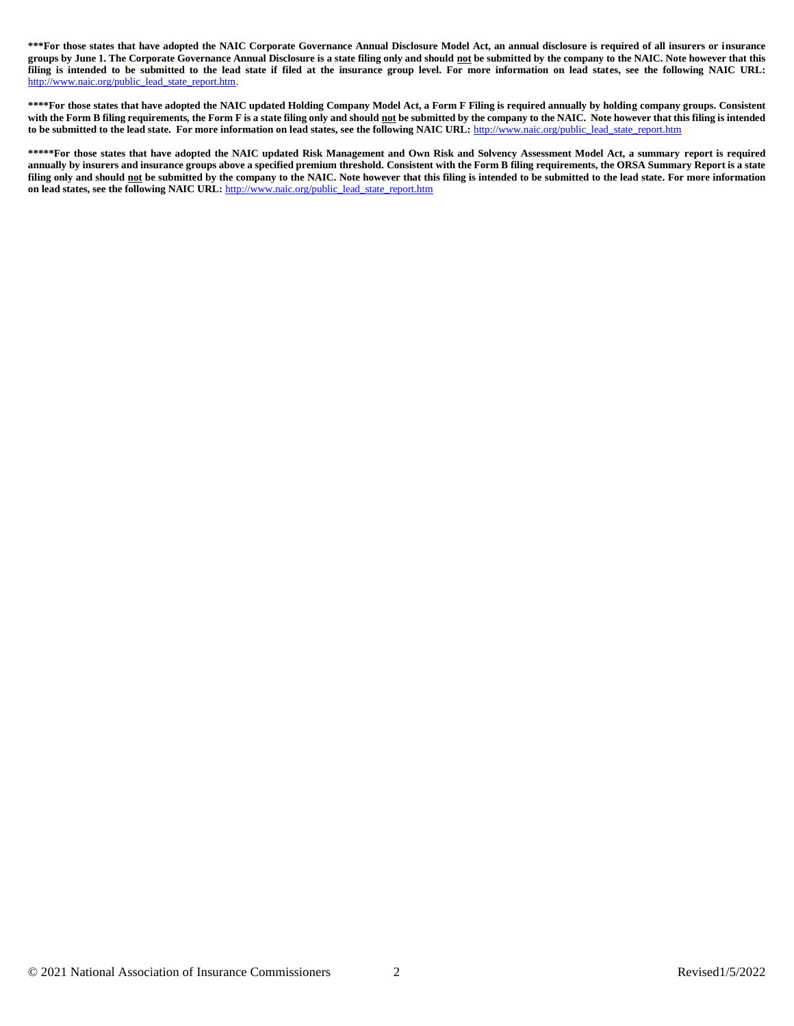**\*\*\*For those states that have adopted the NAIC Corporate Governance Annual Disclosure Model Act, an annual disclosure is required of all insurers or insurance groups by June 1. The Corporate Governance Annual Disclosure is a state filing only and should not be submitted by the company to the NAIC. Note however that this filing is intended to be submitted to the lead state if filed at the insurance group level. For more information on lead states, see the following NAIC URL:**  [http://www.naic.org/public\\_lead\\_state\\_report.htm.](http://www.naic.org/public_lead_state_report.htm)

**\*\*\*\*For those states that have adopted the NAIC updated Holding Company Model Act, a Form F Filing is required annually by holding company groups. Consistent with the Form B filing requirements, the Form F is a state filing only and should not be submitted by the company to the NAIC. Note however that this filing is intended**  to be submitted to the lead state. For more information on lead states, see the following NAIC URL: [http://www.naic.org/public\\_lead\\_state\\_report.htm](http://www.naic.org/public_lead_state_report.htm)

**\*\*\*\*\*For those states that have adopted the NAIC updated Risk Management and Own Risk and Solvency Assessment Model Act, a summary report is required annually by insurers and insurance groups above a specified premium threshold. Consistent with the Form B filing requirements, the ORSA Summary Report is a state filing only and should not be submitted by the company to the NAIC. Note however that this filing is intended to be submitted to the lead state. For more information on lead states, see the following NAIC URL:** [http://www.naic.org/public\\_lead\\_state\\_report.htm](http://www.naic.org/public_lead_state_report.htm)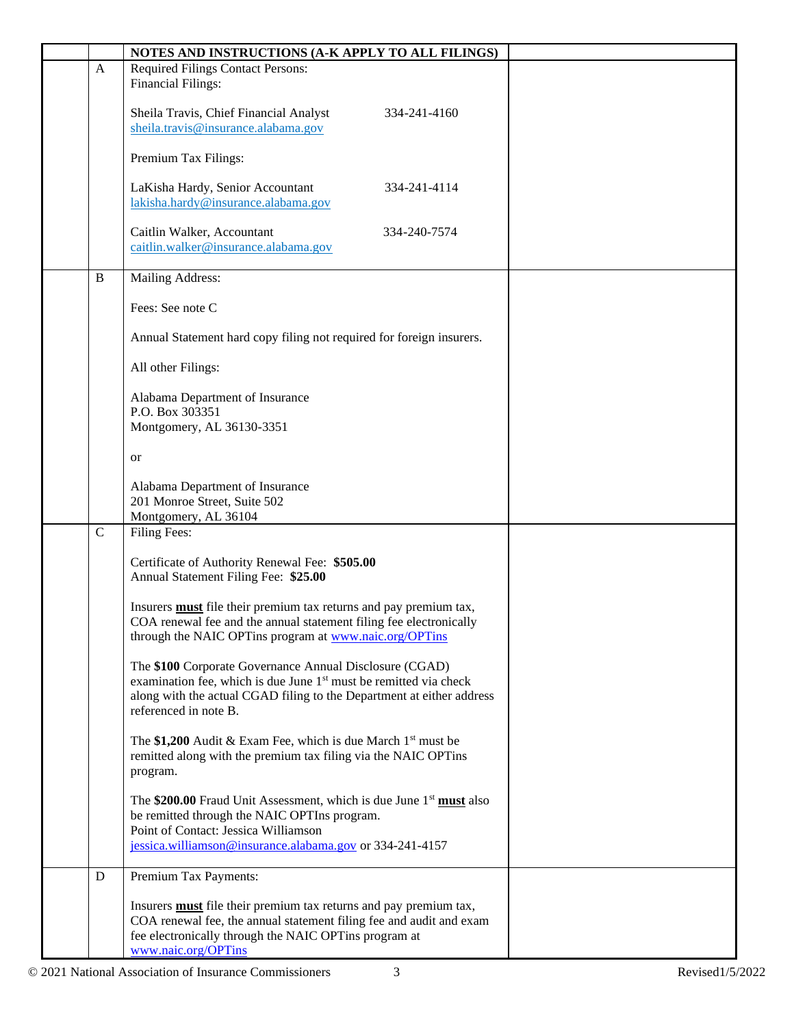|             | NOTES AND INSTRUCTIONS (A-K APPLY TO ALL FILINGS)                                                                                                                                                                                          |  |
|-------------|--------------------------------------------------------------------------------------------------------------------------------------------------------------------------------------------------------------------------------------------|--|
| A           | <b>Required Filings Contact Persons:</b><br><b>Financial Filings:</b>                                                                                                                                                                      |  |
|             | Sheila Travis, Chief Financial Analyst<br>334-241-4160<br>sheila.travis@insurance.alabama.gov                                                                                                                                              |  |
|             | Premium Tax Filings:                                                                                                                                                                                                                       |  |
|             | LaKisha Hardy, Senior Accountant<br>334-241-4114<br>lakisha.hardy@insurance.alabama.gov                                                                                                                                                    |  |
|             | Caitlin Walker, Accountant<br>334-240-7574<br>caitlin.walker@insurance.alabama.gov                                                                                                                                                         |  |
| B           | Mailing Address:                                                                                                                                                                                                                           |  |
|             | Fees: See note C                                                                                                                                                                                                                           |  |
|             | Annual Statement hard copy filing not required for foreign insurers.                                                                                                                                                                       |  |
|             | All other Filings:                                                                                                                                                                                                                         |  |
|             | Alabama Department of Insurance<br>P.O. Box 303351                                                                                                                                                                                         |  |
|             | Montgomery, AL 36130-3351                                                                                                                                                                                                                  |  |
|             | <b>or</b>                                                                                                                                                                                                                                  |  |
|             | Alabama Department of Insurance<br>201 Monroe Street, Suite 502                                                                                                                                                                            |  |
|             | Montgomery, AL 36104                                                                                                                                                                                                                       |  |
| $\mathbf C$ | Filing Fees:                                                                                                                                                                                                                               |  |
|             | Certificate of Authority Renewal Fee: \$505.00<br>Annual Statement Filing Fee: \$25.00                                                                                                                                                     |  |
|             | Insurers <b>must</b> file their premium tax returns and pay premium tax,<br>COA renewal fee and the annual statement filing fee electronically<br>through the NAIC OPTins program at www.naic.org/OPTins                                   |  |
|             | The \$100 Corporate Governance Annual Disclosure (CGAD)<br>examination fee, which is due June 1 <sup>st</sup> must be remitted via check<br>along with the actual CGAD filing to the Department at either address<br>referenced in note B. |  |
|             | The \$1,200 Audit & Exam Fee, which is due March $1st$ must be<br>remitted along with the premium tax filing via the NAIC OPTins<br>program.                                                                                               |  |
|             | The \$200.00 Fraud Unit Assessment, which is due June $1st$ must also<br>be remitted through the NAIC OPTIns program.<br>Point of Contact: Jessica Williamson<br>jessica.williamson@insurance.alabama.gov or 334-241-4157                  |  |
| D           | Premium Tax Payments:                                                                                                                                                                                                                      |  |
|             | Insurers <b>must</b> file their premium tax returns and pay premium tax,<br>COA renewal fee, the annual statement filing fee and audit and exam<br>fee electronically through the NAIC OPTins program at<br>www.naic.org/OPTins            |  |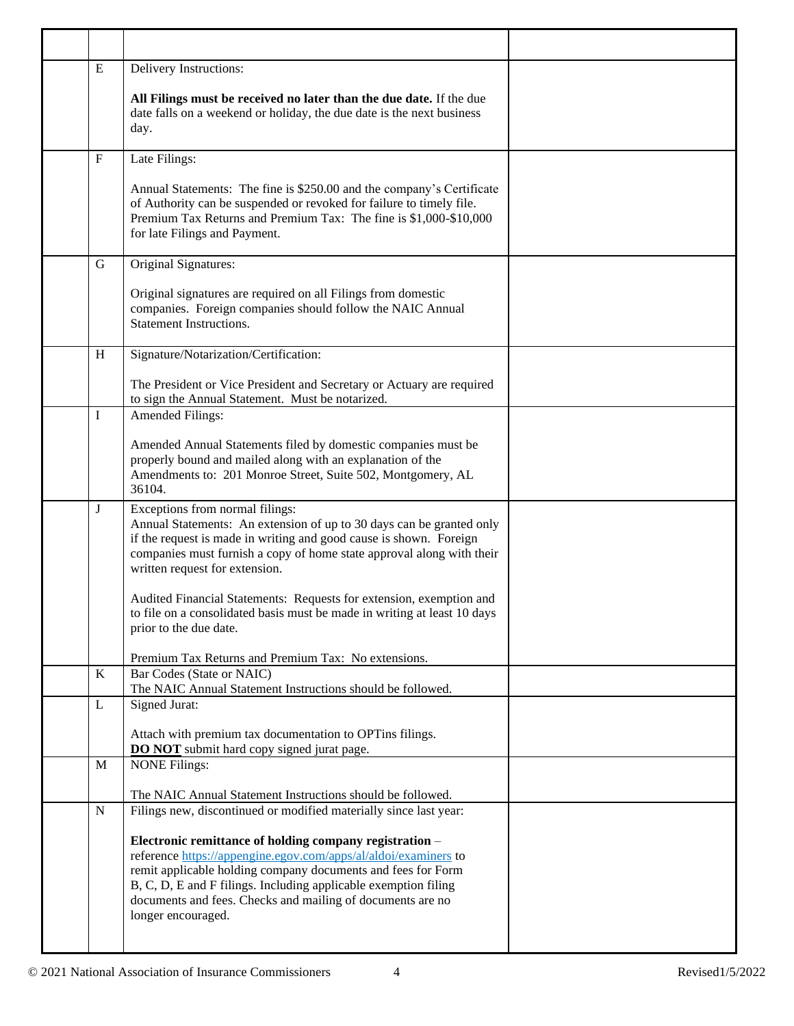| ${\bf E}$   | Delivery Instructions:                                                                                                                                                                                                                                                                   |  |
|-------------|------------------------------------------------------------------------------------------------------------------------------------------------------------------------------------------------------------------------------------------------------------------------------------------|--|
|             | All Filings must be received no later than the due date. If the due<br>date falls on a weekend or holiday, the due date is the next business<br>day.                                                                                                                                     |  |
| ${\bf F}$   | Late Filings:                                                                                                                                                                                                                                                                            |  |
|             | Annual Statements: The fine is \$250.00 and the company's Certificate<br>of Authority can be suspended or revoked for failure to timely file.<br>Premium Tax Returns and Premium Tax: The fine is \$1,000-\$10,000<br>for late Filings and Payment.                                      |  |
| G           | Original Signatures:                                                                                                                                                                                                                                                                     |  |
|             | Original signatures are required on all Filings from domestic<br>companies. Foreign companies should follow the NAIC Annual<br><b>Statement Instructions.</b>                                                                                                                            |  |
| H           | Signature/Notarization/Certification:                                                                                                                                                                                                                                                    |  |
|             | The President or Vice President and Secretary or Actuary are required<br>to sign the Annual Statement. Must be notarized.                                                                                                                                                                |  |
| I           | Amended Filings:                                                                                                                                                                                                                                                                         |  |
|             | Amended Annual Statements filed by domestic companies must be<br>properly bound and mailed along with an explanation of the<br>Amendments to: 201 Monroe Street, Suite 502, Montgomery, AL<br>36104.                                                                                     |  |
| J           | Exceptions from normal filings:<br>Annual Statements: An extension of up to 30 days can be granted only<br>if the request is made in writing and good cause is shown. Foreign<br>companies must furnish a copy of home state approval along with their<br>written request for extension. |  |
|             | Audited Financial Statements: Requests for extension, exemption and<br>to file on a consolidated basis must be made in writing at least 10 days<br>prior to the due date.                                                                                                                |  |
|             | Premium Tax Returns and Premium Tax: No extensions.                                                                                                                                                                                                                                      |  |
| $\bf K$     | Bar Codes (State or NAIC)<br>The NAIC Annual Statement Instructions should be followed.                                                                                                                                                                                                  |  |
| L           | Signed Jurat:                                                                                                                                                                                                                                                                            |  |
|             | Attach with premium tax documentation to OPTins filings.<br><b>DO NOT</b> submit hard copy signed jurat page.                                                                                                                                                                            |  |
| $\mathbf M$ | <b>NONE Filings:</b>                                                                                                                                                                                                                                                                     |  |
|             | The NAIC Annual Statement Instructions should be followed.                                                                                                                                                                                                                               |  |
| $\mathbf N$ | Filings new, discontinued or modified materially since last year:                                                                                                                                                                                                                        |  |
|             | Electronic remittance of holding company registration -<br>reference https://appengine.egov.com/apps/al/aldoi/examiners to                                                                                                                                                               |  |
|             | remit applicable holding company documents and fees for Form<br>B, C, D, E and F filings. Including applicable exemption filing<br>documents and fees. Checks and mailing of documents are no<br>longer encouraged.                                                                      |  |
|             |                                                                                                                                                                                                                                                                                          |  |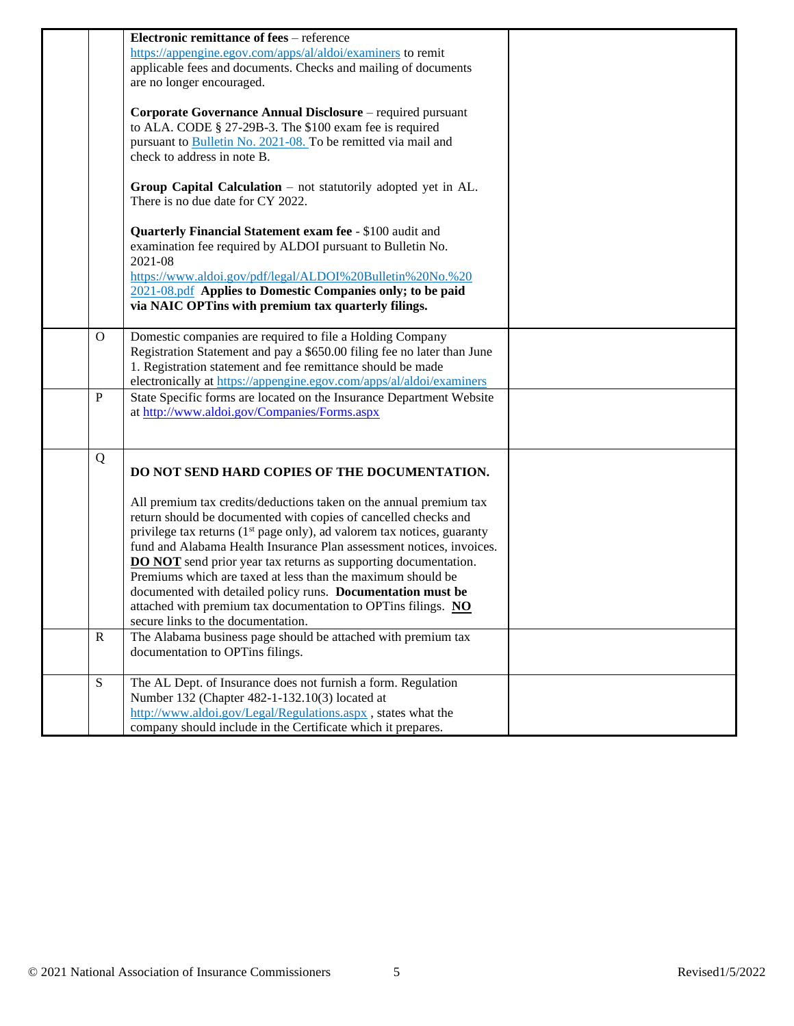|              | <b>Electronic remittance of fees</b> – reference                                    |  |
|--------------|-------------------------------------------------------------------------------------|--|
|              | https://appengine.egov.com/apps/al/aldoi/examiners to remit                         |  |
|              | applicable fees and documents. Checks and mailing of documents                      |  |
|              | are no longer encouraged.                                                           |  |
|              |                                                                                     |  |
|              | Corporate Governance Annual Disclosure – required pursuant                          |  |
|              | to ALA. CODE § 27-29B-3. The \$100 exam fee is required                             |  |
|              | pursuant to Bulletin No. 2021-08. To be remitted via mail and                       |  |
|              | check to address in note B.                                                         |  |
|              | Group Capital Calculation $-$ not statutorily adopted yet in AL.                    |  |
|              | There is no due date for CY 2022.                                                   |  |
|              | Quarterly Financial Statement exam fee - \$100 audit and                            |  |
|              | examination fee required by ALDOI pursuant to Bulletin No.<br>2021-08               |  |
|              | https://www.aldoi.gov/pdf/legal/ALDOI%20Bulletin%20No.%20                           |  |
|              | 2021-08.pdf Applies to Domestic Companies only; to be paid                          |  |
|              | via NAIC OPTins with premium tax quarterly filings.                                 |  |
|              |                                                                                     |  |
| $\mathbf{O}$ | Domestic companies are required to file a Holding Company                           |  |
|              | Registration Statement and pay a \$650.00 filing fee no later than June             |  |
|              | 1. Registration statement and fee remittance should be made                         |  |
|              | electronically at https://appengine.egov.com/apps/al/aldoi/examiners                |  |
| $\mathbf{P}$ | State Specific forms are located on the Insurance Department Website                |  |
|              | at http://www.aldoi.gov/Companies/Forms.aspx                                        |  |
|              |                                                                                     |  |
|              |                                                                                     |  |
| Q            | DO NOT SEND HARD COPIES OF THE DOCUMENTATION.                                       |  |
|              | All premium tax credits/deductions taken on the annual premium tax                  |  |
|              | return should be documented with copies of cancelled checks and                     |  |
|              | privilege tax returns (1 <sup>st</sup> page only), ad valorem tax notices, guaranty |  |
|              | fund and Alabama Health Insurance Plan assessment notices, invoices.                |  |
|              | <b>DO NOT</b> send prior year tax returns as supporting documentation.              |  |
|              | Premiums which are taxed at less than the maximum should be                         |  |
|              |                                                                                     |  |
|              | documented with detailed policy runs. Documentation must be                         |  |
|              | attached with premium tax documentation to OPTins filings. NO                       |  |
|              | secure links to the documentation.                                                  |  |
| $\mathbf R$  | The Alabama business page should be attached with premium tax                       |  |
|              | documentation to OPTins filings.                                                    |  |
|              |                                                                                     |  |
| S            | The AL Dept. of Insurance does not furnish a form. Regulation                       |  |
|              | Number 132 (Chapter 482-1-132.10(3) located at                                      |  |
|              | http://www.aldoi.gov/Legal/Regulations.aspx, states what the                        |  |
|              | company should include in the Certificate which it prepares.                        |  |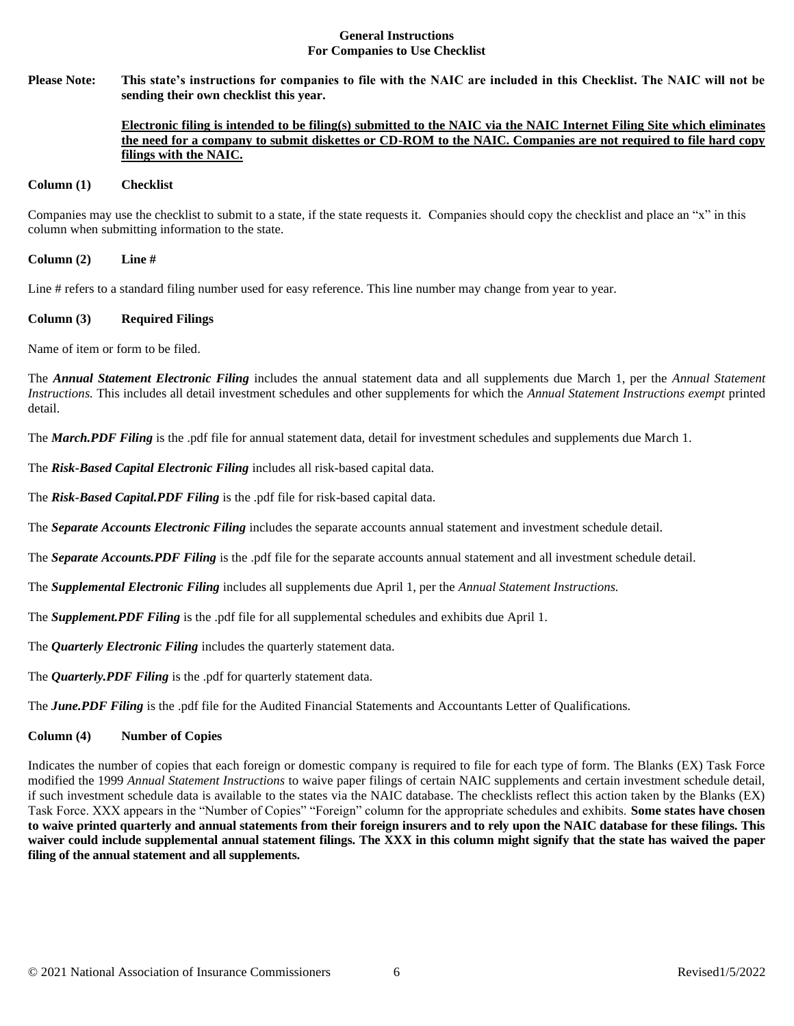#### **General Instructions For Companies to Use Checklist**

**Please Note: This state's instructions for companies to file with the NAIC are included in this Checklist. The NAIC will not be sending their own checklist this year.** 

# **Electronic filing is intended to be filing(s) submitted to the NAIC via the NAIC Internet Filing Site which eliminates the need for a company to submit diskettes or CD-ROM to the NAIC. Companies are not required to file hard copy filings with the NAIC.**

#### **Column (1) Checklist**

Companies may use the checklist to submit to a state, if the state requests it. Companies should copy the checklist and place an "x" in this column when submitting information to the state.

**Column (2) Line #**

Line # refers to a standard filing number used for easy reference. This line number may change from year to year.

### **Column (3) Required Filings**

Name of item or form to be filed.

The *Annual Statement Electronic Filing* includes the annual statement data and all supplements due March 1, per the *Annual Statement Instructions.* This includes all detail investment schedules and other supplements for which the *Annual Statement Instructions exempt* printed detail.

The *March.PDF Filing* is the .pdf file for annual statement data, detail for investment schedules and supplements due March 1.

The *Risk-Based Capital Electronic Filing* includes all risk-based capital data.

The *Risk-Based Capital.PDF Filing* is the .pdf file for risk-based capital data.

The *Separate Accounts Electronic Filing* includes the separate accounts annual statement and investment schedule detail.

The *Separate Accounts.PDF Filing* is the .pdf file for the separate accounts annual statement and all investment schedule detail.

The *Supplemental Electronic Filing* includes all supplements due April 1, per the *Annual Statement Instructions.* 

The *Supplement.PDF Filing* is the .pdf file for all supplemental schedules and exhibits due April 1.

The *Quarterly Electronic Filing* includes the quarterly statement data.

The *Quarterly.PDF Filing* is the .pdf for quarterly statement data.

The *June.PDF Filing* is the .pdf file for the Audited Financial Statements and Accountants Letter of Qualifications.

#### **Column (4) Number of Copies**

Indicates the number of copies that each foreign or domestic company is required to file for each type of form. The Blanks (EX) Task Force modified the 1999 *Annual Statement Instructions* to waive paper filings of certain NAIC supplements and certain investment schedule detail, if such investment schedule data is available to the states via the NAIC database. The checklists reflect this action taken by the Blanks (EX) Task Force. XXX appears in the "Number of Copies" "Foreign" column for the appropriate schedules and exhibits. **Some states have chosen to waive printed quarterly and annual statements from their foreign insurers and to rely upon the NAIC database for these filings. This waiver could include supplemental annual statement filings. The XXX in this column might signify that the state has waived the paper filing of the annual statement and all supplements.**